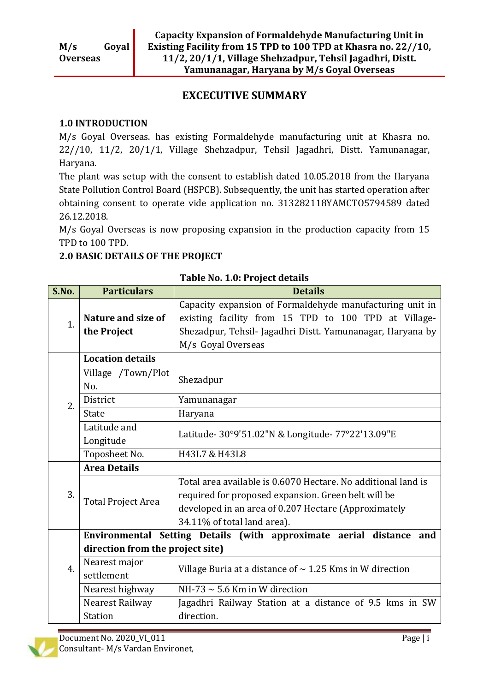## **EXCECUTIVE SUMMARY**

#### **1.0 INTRODUCTION**

M/s Goyal Overseas. has existing Formaldehyde manufacturing unit at Khasra no. 22//10, 11/2, 20/1/1, Village Shehzadpur, Tehsil Jagadhri, Distt. Yamunanagar, Haryana.

The plant was setup with the consent to establish dated 10.05.2018 from the Haryana State Pollution Control Board (HSPCB). Subsequently, the unit has started operation after obtaining consent to operate vide application no. 313282118YAMCTO5794589 dated 26.12.2018.

M/s Goyal Overseas is now proposing expansion in the production capacity from 15 TPD to 100 TPD.

## **2.0 BASIC DETAILS OF THE PROJECT**

| S.No.            | <b>Particulars</b>                | <b>Details</b>                                                                                                                                                                                              |  |  |
|------------------|-----------------------------------|-------------------------------------------------------------------------------------------------------------------------------------------------------------------------------------------------------------|--|--|
| 1.               | Nature and size of<br>the Project | Capacity expansion of Formaldehyde manufacturing unit in<br>existing facility from 15 TPD to 100 TPD at Village-<br>Shezadpur, Tehsil- Jagadhri Distt. Yamunanagar, Haryana by<br>M/s Goyal Overseas        |  |  |
|                  | <b>Location details</b>           |                                                                                                                                                                                                             |  |  |
|                  | Village /Town/Plot<br>No.         | Shezadpur                                                                                                                                                                                                   |  |  |
| 2.               | District                          | Yamunanagar                                                                                                                                                                                                 |  |  |
|                  | <b>State</b>                      | Haryana                                                                                                                                                                                                     |  |  |
|                  | Latitude and<br>Longitude         | Latitude- 30°9'51.02"N & Longitude- 77°22'13.09"E                                                                                                                                                           |  |  |
|                  | Toposheet No.                     | H43L7 & H43L8                                                                                                                                                                                               |  |  |
|                  | <b>Area Details</b>               |                                                                                                                                                                                                             |  |  |
| 3.               | <b>Total Project Area</b>         | Total area available is 0.6070 Hectare. No additional land is<br>required for proposed expansion. Green belt will be<br>developed in an area of 0.207 Hectare (Approximately<br>34.11% of total land area). |  |  |
|                  |                                   | Environmental Setting Details (with approximate aerial distance and                                                                                                                                         |  |  |
|                  | direction from the project site)  |                                                                                                                                                                                                             |  |  |
| $\overline{4}$ . | Nearest major<br>settlement       | Village Buria at a distance of $\sim$ 1.25 Kms in W direction                                                                                                                                               |  |  |
|                  | Nearest highway                   | NH-73 $\sim$ 5.6 Km in W direction                                                                                                                                                                          |  |  |
|                  | Nearest Railway                   | Jagadhri Railway Station at a distance of 9.5 kms in SW                                                                                                                                                     |  |  |
|                  | <b>Station</b>                    | direction.                                                                                                                                                                                                  |  |  |

**Table No. 1.0: Project details**

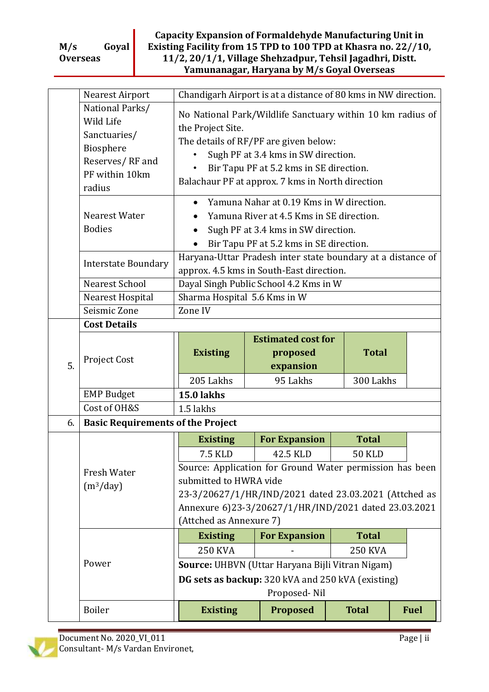#### **Capacity Expansion of Formaldehyde Manufacturing Unit in Existing Facility from 15 TPD to 100 TPD at Khasra no. 22//10, 11/2, 20/1/1, Village Shehzadpur, Tehsil Jagadhri, Distt. Yamunanagar, Haryana by M/s Goyal Overseas**

|                                                                                                                                                                                                                                                                        | Nearest Airport                                                                                          | Chandigarh Airport is at a distance of 80 kms in NW direction.                                                                                                                                                                                                                                 |                                                    |                |  |  |
|------------------------------------------------------------------------------------------------------------------------------------------------------------------------------------------------------------------------------------------------------------------------|----------------------------------------------------------------------------------------------------------|------------------------------------------------------------------------------------------------------------------------------------------------------------------------------------------------------------------------------------------------------------------------------------------------|----------------------------------------------------|----------------|--|--|
|                                                                                                                                                                                                                                                                        | National Parks/<br>Wild Life<br>Sanctuaries/<br>Biosphere<br>Reserves/RF and<br>PF within 10km<br>radius | No National Park/Wildlife Sanctuary within 10 km radius of<br>the Project Site.<br>The details of RF/PF are given below:<br>Sugh PF at 3.4 kms in SW direction.<br>Bir Tapu PF at 5.2 kms in SE direction.<br>$\bullet$<br>Balachaur PF at approx. 7 kms in North direction                    |                                                    |                |  |  |
|                                                                                                                                                                                                                                                                        | Nearest Water<br><b>Bodies</b>                                                                           | Yamuna Nahar at 0.19 Kms in W direction.<br>$\bullet$<br>Yamuna River at 4.5 Kms in SE direction.<br>Sugh PF at 3.4 kms in SW direction.<br>Bir Tapu PF at 5.2 kms in SE direction.<br>Haryana-Uttar Pradesh inter state boundary at a distance of<br>approx. 4.5 kms in South-East direction. |                                                    |                |  |  |
|                                                                                                                                                                                                                                                                        | <b>Interstate Boundary</b>                                                                               |                                                                                                                                                                                                                                                                                                |                                                    |                |  |  |
|                                                                                                                                                                                                                                                                        | Nearest School                                                                                           |                                                                                                                                                                                                                                                                                                | Dayal Singh Public School 4.2 Kms in W             |                |  |  |
|                                                                                                                                                                                                                                                                        | Nearest Hospital                                                                                         | Sharma Hospital 5.6 Kms in W                                                                                                                                                                                                                                                                   |                                                    |                |  |  |
|                                                                                                                                                                                                                                                                        | Seismic Zone                                                                                             | Zone IV                                                                                                                                                                                                                                                                                        |                                                    |                |  |  |
|                                                                                                                                                                                                                                                                        | <b>Cost Details</b>                                                                                      |                                                                                                                                                                                                                                                                                                |                                                    |                |  |  |
| 5.                                                                                                                                                                                                                                                                     | Project Cost                                                                                             | <b>Existing</b>                                                                                                                                                                                                                                                                                | <b>Estimated cost for</b><br>proposed<br>expansion | <b>Total</b>   |  |  |
|                                                                                                                                                                                                                                                                        |                                                                                                          | 205 Lakhs                                                                                                                                                                                                                                                                                      | 95 Lakhs                                           | 300 Lakhs      |  |  |
|                                                                                                                                                                                                                                                                        | <b>EMP Budget</b>                                                                                        | <b>15.0 lakhs</b>                                                                                                                                                                                                                                                                              |                                                    |                |  |  |
|                                                                                                                                                                                                                                                                        | Cost of OH&S                                                                                             | 1.5 lakhs                                                                                                                                                                                                                                                                                      |                                                    |                |  |  |
| 6.                                                                                                                                                                                                                                                                     | <b>Basic Requirements of the Project</b>                                                                 |                                                                                                                                                                                                                                                                                                |                                                    |                |  |  |
|                                                                                                                                                                                                                                                                        |                                                                                                          | <b>Existing</b>                                                                                                                                                                                                                                                                                | <b>For Expansion</b>                               | <b>Total</b>   |  |  |
|                                                                                                                                                                                                                                                                        |                                                                                                          | 7.5 KLD                                                                                                                                                                                                                                                                                        | 42.5 KLD                                           | <b>50 KLD</b>  |  |  |
| Source: Application for Ground Water permission has been<br>Fresh Water<br>submitted to HWRA vide<br>(m <sup>3</sup> /day)<br>23-3/20627/1/HR/IND/2021 dated 23.03.2021 (Attched as<br>Annexure 6)23-3/20627/1/HR/IND/2021 dated 23.03.2021<br>(Attched as Annexure 7) |                                                                                                          |                                                                                                                                                                                                                                                                                                |                                                    |                |  |  |
|                                                                                                                                                                                                                                                                        |                                                                                                          | <b>Existing</b>                                                                                                                                                                                                                                                                                | <b>For Expansion</b>                               | <b>Total</b>   |  |  |
|                                                                                                                                                                                                                                                                        |                                                                                                          | <b>250 KVA</b>                                                                                                                                                                                                                                                                                 |                                                    | <b>250 KVA</b> |  |  |
|                                                                                                                                                                                                                                                                        | Power                                                                                                    |                                                                                                                                                                                                                                                                                                |                                                    |                |  |  |
|                                                                                                                                                                                                                                                                        |                                                                                                          | Source: UHBVN (Uttar Haryana Bijli Vitran Nigam)<br>DG sets as backup: 320 kVA and 250 kVA (existing)                                                                                                                                                                                          |                                                    |                |  |  |
|                                                                                                                                                                                                                                                                        |                                                                                                          |                                                                                                                                                                                                                                                                                                |                                                    |                |  |  |
|                                                                                                                                                                                                                                                                        |                                                                                                          |                                                                                                                                                                                                                                                                                                | Proposed-Nil                                       |                |  |  |

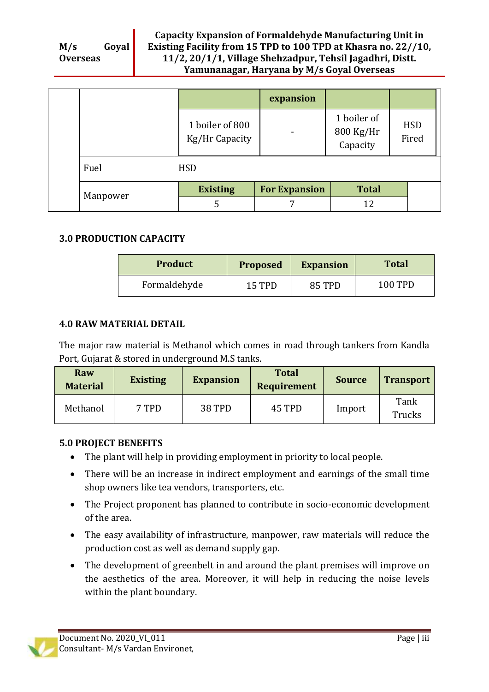|          |                                   | expansion            |                                      |                     |
|----------|-----------------------------------|----------------------|--------------------------------------|---------------------|
|          | 1 boiler of 800<br>Kg/Hr Capacity | $\qquad \qquad$      | 1 boiler of<br>800 Kg/Hr<br>Capacity | <b>HSD</b><br>Fired |
| Fuel     | <b>HSD</b>                        |                      |                                      |                     |
| Manpower | <b>Existing</b>                   | <b>For Expansion</b> | <b>Total</b>                         |                     |
|          | 5                                 | 7                    | 12                                   |                     |

### **3.0 PRODUCTION CAPACITY**

| <b>Product</b> | Proposed | <b>Expansion</b> | <b>Total</b> |
|----------------|----------|------------------|--------------|
| Formaldehyde   | 15 TPD   | 85 TPD           | 100 TPD      |

#### **4.0 RAW MATERIAL DETAIL**

The major raw material is Methanol which comes in road through tankers from Kandla Port, Gujarat & stored in underground M.S tanks.

| <b>Raw</b><br><b>Material</b> | <b>Existing</b> | <b>Expansion</b> | <b>Total</b><br><b>Requirement</b> | <b>Source</b> | <b>Transport</b> |
|-------------------------------|-----------------|------------------|------------------------------------|---------------|------------------|
| Methanol                      | 7 TPD           | <b>38 TPD</b>    | 45 TPD                             | Import        | Tank<br>Trucks   |

#### **5.0 PROJECT BENEFITS**

- The plant will help in providing employment in priority to local people.
- There will be an increase in indirect employment and earnings of the small time shop owners like tea vendors, transporters, etc.
- The Project proponent has planned to contribute in socio-economic development of the area.
- The easy availability of infrastructure, manpower, raw materials will reduce the production cost as well as demand supply gap.
- The development of greenbelt in and around the plant premises will improve on the aesthetics of the area. Moreover, it will help in reducing the noise levels within the plant boundary.

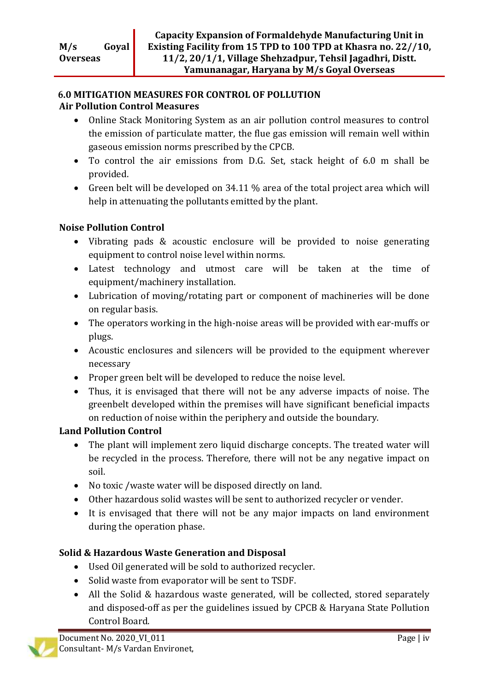#### **6.0 MITIGATION MEASURES FOR CONTROL OF POLLUTION Air Pollution Control Measures**

- Online Stack Monitoring System as an air pollution control measures to control the emission of particulate matter, the flue gas emission will remain well within gaseous emission norms prescribed by the CPCB.
- To control the air emissions from D.G. Set, stack height of 6.0 m shall be provided.
- Green belt will be developed on 34.11 % area of the total project area which will help in attenuating the pollutants emitted by the plant.

## **Noise Pollution Control**

- Vibrating pads & acoustic enclosure will be provided to noise generating equipment to control noise level within norms.
- Latest technology and utmost care will be taken at the time of equipment/machinery installation.
- Lubrication of moving/rotating part or component of machineries will be done on regular basis.
- The operators working in the high-noise areas will be provided with ear-muffs or plugs.
- Acoustic enclosures and silencers will be provided to the equipment wherever necessary
- Proper green belt will be developed to reduce the noise level.
- Thus, it is envisaged that there will not be any adverse impacts of noise. The greenbelt developed within the premises will have significant beneficial impacts on reduction of noise within the periphery and outside the boundary.

# **Land Pollution Control**

- The plant will implement zero liquid discharge concepts. The treated water will be recycled in the process. Therefore, there will not be any negative impact on soil.
- No toxic /waste water will be disposed directly on land.
- Other hazardous solid wastes will be sent to authorized recycler or vender.
- It is envisaged that there will not be any major impacts on land environment during the operation phase.

# **Solid & Hazardous Waste Generation and Disposal**

- Used Oil generated will be sold to authorized recycler.
- Solid waste from evaporator will be sent to TSDF.
- All the Solid & hazardous waste generated, will be collected, stored separately and disposed-off as per the guidelines issued by CPCB & Haryana State Pollution Control Board.

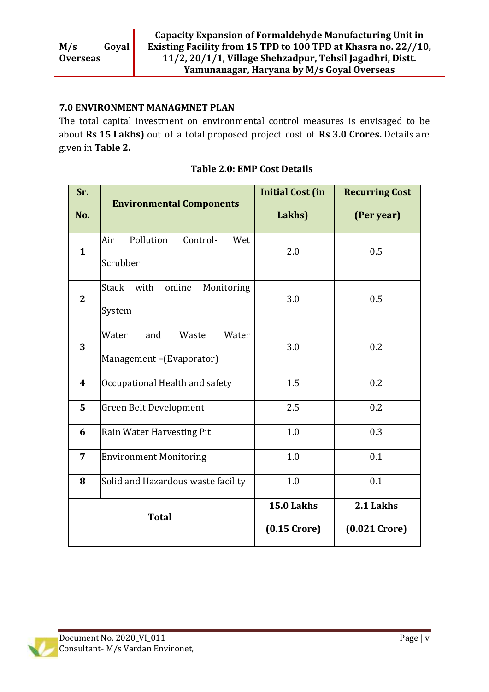### **7.0 ENVIRONMENT MANAGMNET PLAN**

The total capital investment on environmental control measures is envisaged to be about **Rs 15 Lakhs)** out of a total proposed project cost of **Rs 3.0 Crores.** Details are given in **Table 2.**

| Sr.              | <b>Environmental Components</b>                           | <b>Initial Cost (in</b>      | <b>Recurring Cost</b>        |
|------------------|-----------------------------------------------------------|------------------------------|------------------------------|
| No.              |                                                           | Lakhs)                       | (Per year)                   |
| $\mathbf{1}$     | Pollution<br>Control-<br>Air<br>Wet<br>Scrubber           | 2.0                          | 0.5                          |
| $\overline{2}$   | Stack with<br>online<br>Monitoring<br>System              | 3.0                          | 0.5                          |
| 3                | Water<br>Water<br>and<br>Waste<br>Management-(Evaporator) | 3.0                          | 0.2                          |
| $\boldsymbol{4}$ | Occupational Health and safety                            | 1.5                          | 0.2                          |
| 5                | Green Belt Development                                    | 2.5                          | 0.2                          |
| 6                | Rain Water Harvesting Pit                                 | 1.0                          | 0.3                          |
| $\overline{7}$   | <b>Environment Monitoring</b>                             | 1.0                          | 0.1                          |
| 8                | Solid and Hazardous waste facility                        | 1.0                          | 0.1                          |
| <b>Total</b>     |                                                           | 15.0 Lakhs<br>$(0.15$ Crore) | 2.1 Lakhs<br>$(0.021$ Crore) |